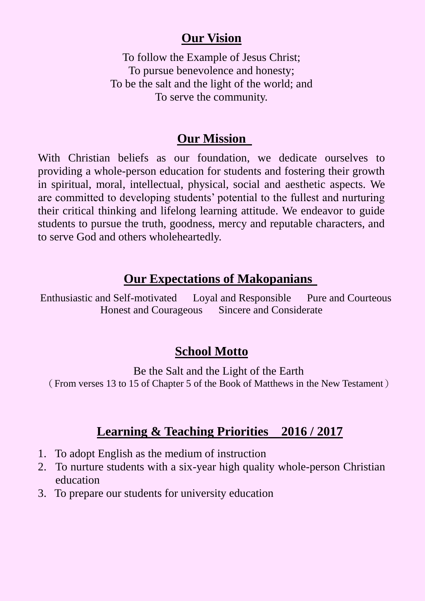## **Our Vision**

To follow the Example of Jesus Christ; To pursue benevolence and honesty; To be the salt and the light of the world; and To serve the community.

#### **Our Mission**

With Christian beliefs as our foundation, we dedicate ourselves to providing a whole-person education for students and fostering their growth in spiritual, moral, intellectual, physical, social and aesthetic aspects. We are committed to developing students' potential to the fullest and nurturing their critical thinking and lifelong learning attitude. We endeavor to guide students to pursue the truth, goodness, mercy and reputable characters, and to serve God and others wholeheartedly.

#### **Our Expectations of Makopanians**

Enthusiastic and Self-motivated Loyal and Responsible Pure and Courteous Honest and Courageous Sincere and Considerate

## **School Motto**

Be the Salt and the Light of the Earth (From verses 13 to 15 of Chapter 5 of the Book of Matthews in the New Testament)

## **Learning & Teaching Priorities 2016 / 2017**

- 1. To adopt English as the medium of instruction
- 2. To nurture students with a six-year high quality whole-person Christian education
- 3. To prepare our students for university education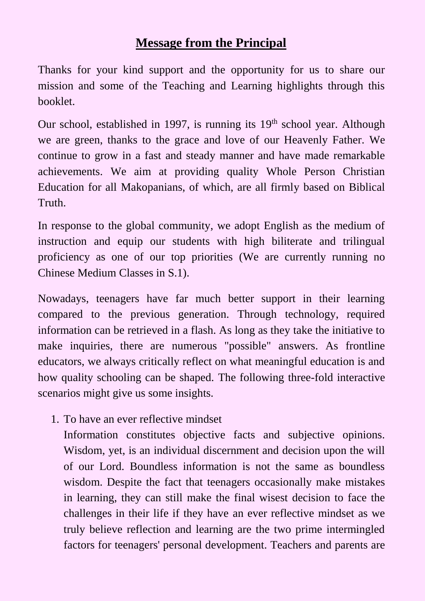#### **Message from the Principal**

Thanks for your kind support and the opportunity for us to share our mission and some of the Teaching and Learning highlights through this booklet.

Our school, established in 1997, is running its 19<sup>th</sup> school year. Although we are green, thanks to the grace and love of our Heavenly Father. We continue to grow in a fast and steady manner and have made remarkable achievements. We aim at providing quality Whole Person Christian Education for all Makopanians, of which, are all firmly based on Biblical Truth.

In response to the global community, we adopt English as the medium of instruction and equip our students with high biliterate and trilingual proficiency as one of our top priorities (We are currently running no Chinese Medium Classes in S.1).

Nowadays, teenagers have far much better support in their learning compared to the previous generation. Through technology, required information can be retrieved in a flash. As long as they take the initiative to make inquiries, there are numerous "possible" answers. As frontline educators, we always critically reflect on what meaningful education is and how quality schooling can be shaped. The following three-fold interactive scenarios might give us some insights.

1. To have an ever reflective mindset

Information constitutes objective facts and subjective opinions. Wisdom, yet, is an individual discernment and decision upon the will of our Lord. Boundless information is not the same as boundless wisdom. Despite the fact that teenagers occasionally make mistakes in learning, they can still make the final wisest decision to face the challenges in their life if they have an ever reflective mindset as we truly believe reflection and learning are the two prime intermingled factors for teenagers' personal development. Teachers and parents are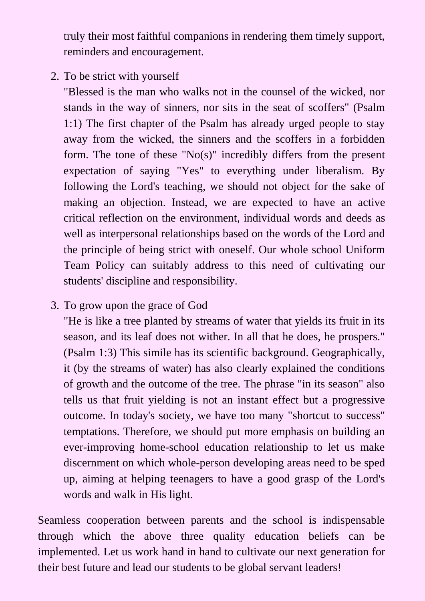truly their most faithful companions in rendering them timely support, reminders and encouragement.

2. To be strict with yourself

"Blessed is the man who walks not in the counsel of the wicked, nor stands in the way of sinners, nor sits in the seat of scoffers" (Psalm 1:1) The first chapter of the Psalm has already urged people to stay away from the wicked, the sinners and the scoffers in a forbidden form. The tone of these " $No(s)$ " incredibly differs from the present expectation of saying "Yes" to everything under liberalism. By following the Lord's teaching, we should not object for the sake of making an objection. Instead, we are expected to have an active critical reflection on the environment, individual words and deeds as well as interpersonal relationships based on the words of the Lord and the principle of being strict with oneself. Our whole school Uniform Team Policy can suitably address to this need of cultivating our students' discipline and responsibility.

3. To grow upon the grace of God

"He is like a tree planted by streams of water that yields its fruit in its season, and its leaf does not wither. In all that he does, he prospers." (Psalm 1:3) This simile has its scientific background. Geographically, it (by the streams of water) has also clearly explained the conditions of growth and the outcome of the tree. The phrase "in its season" also tells us that fruit yielding is not an instant effect but a progressive outcome. In today's society, we have too many "shortcut to success" temptations. Therefore, we should put more emphasis on building an ever-improving home-school education relationship to let us make discernment on which whole-person developing areas need to be sped up, aiming at helping teenagers to have a good grasp of the Lord's words and walk in His light.

Seamless cooperation between parents and the school is indispensable through which the above three quality education beliefs can be implemented. Let us work hand in hand to cultivate our next generation for their best future and lead our students to be global servant leaders!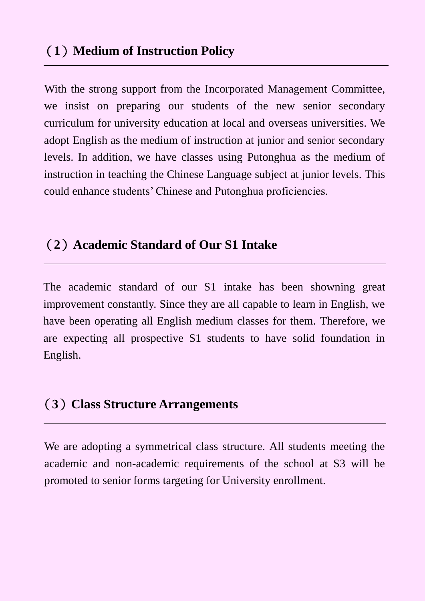## (**1**)**Medium of Instruction Policy**

With the strong support from the Incorporated Management Committee, we insist on preparing our students of the new senior secondary curriculum for university education at local and overseas universities. We adopt English as the medium of instruction at junior and senior secondary levels. In addition, we have classes using Putonghua as the medium of instruction in teaching the Chinese Language subject at junior levels. This could enhance students' Chinese and Putonghua proficiencies.

## (**2**)**Academic Standard of Our S1 Intake**

The academic standard of our S1 intake has been showning great improvement constantly. Since they are all capable to learn in English, we have been operating all English medium classes for them. Therefore, we are expecting all prospective S1 students to have solid foundation in English.

# (**3**)**Class Structure Arrangements**

We are adopting a symmetrical class structure. All students meeting the academic and non-academic requirements of the school at S3 will be promoted to senior forms targeting for University enrollment.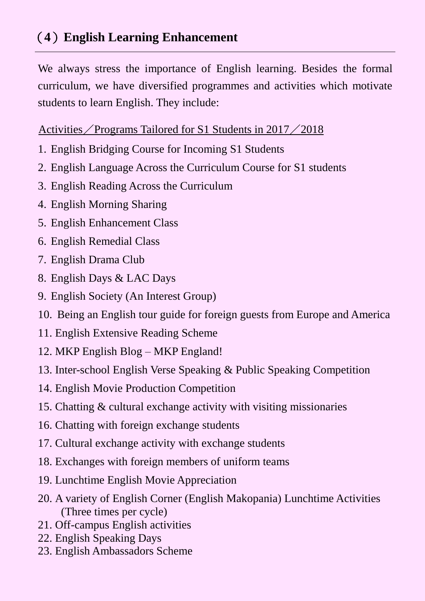# (**4**)**English Learning Enhancement**

We always stress the importance of English learning. Besides the formal curriculum, we have diversified programmes and activities which motivate students to learn English. They include:

#### Activities/Programs Tailored for S1 Students in 2017/2018

- 1. English Bridging Course for Incoming S1 Students
- 2. English Language Across the Curriculum Course for S1 students
- 3. English Reading Across the Curriculum
- 4. English Morning Sharing
- 5. English Enhancement Class
- 6. English Remedial Class
- 7. English Drama Club
- 8. English Days & LAC Days
- 9. English Society (An Interest Group)
- 10. Being an English tour guide for foreign guests from Europe and America
- 11. English Extensive Reading Scheme
- 12. MKP English Blog MKP England!
- 13. Inter-school English Verse Speaking & Public Speaking Competition
- 14. English Movie Production Competition
- 15. Chatting & cultural exchange activity with visiting missionaries
- 16. Chatting with foreign exchange students
- 17. Cultural exchange activity with exchange students
- 18. Exchanges with foreign members of uniform teams
- 19. Lunchtime English Movie Appreciation
- 20. A variety of English Corner (English Makopania) Lunchtime Activities (Three times per cycle)
- 21. Off-campus English activities
- 22. English Speaking Days
- 23. English Ambassadors Scheme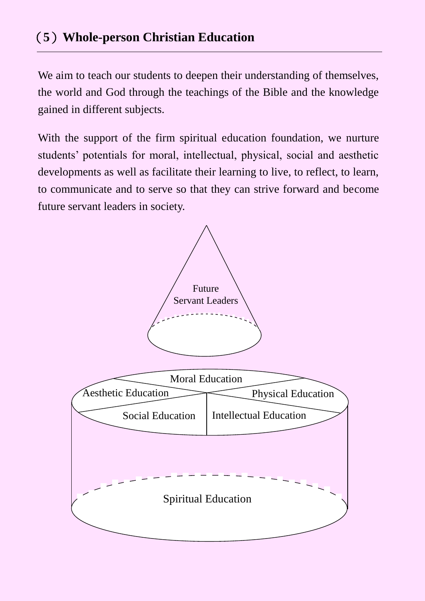# (**5**)**Whole-person Christian Education**

We aim to teach our students to deepen their understanding of themselves, the world and God through the teachings of the Bible and the knowledge gained in different subjects.

With the support of the firm spiritual education foundation, we nurture students' potentials for moral, intellectual, physical, social and aesthetic developments as well as facilitate their learning to live, to reflect, to learn, to communicate and to serve so that they can strive forward and become future servant leaders in society.

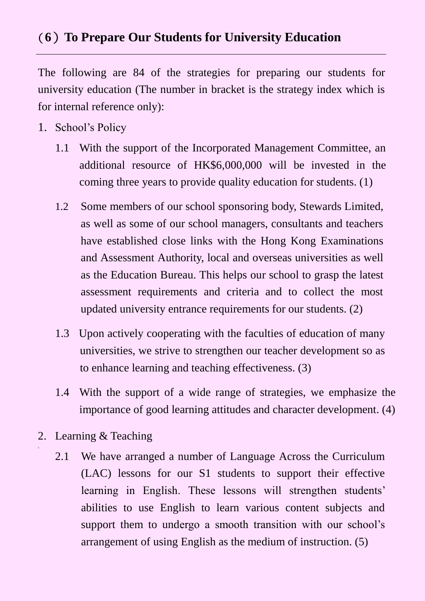## (**6**)**To Prepare Our Students for University Education**

The following are 84 of the strategies for preparing our students for university education (The number in bracket is the strategy index which is for internal reference only):

- 1. School's Policy
	- 1.1 With the support of the Incorporated Management Committee, an additional resource of HK\$6,000,000 will be invested in the coming three years to provide quality education for students. (1)
	- 1.2 Some members of our school sponsoring body, Stewards Limited, as well as some of our school managers, consultants and teachers have established close links with the Hong Kong Examinations and Assessment Authority, local and overseas universities as well as the Education Bureau. This helps our school to grasp the latest assessment requirements and criteria and to collect the most updated university entrance requirements for our students. (2)
	- 1.3 Upon actively cooperating with the faculties of education of many universities, we strive to strengthen our teacher development so as to enhance learning and teaching effectiveness. (3)
	- 1.4 With the support of a wide range of strategies, we emphasize the importance of good learning attitudes and character development. (4)
- 2. Learning & Teaching

3.

2.1 We have arranged a number of Language Across the Curriculum (LAC) lessons for our S1 students to support their effective learning in English. These lessons will strengthen students' abilities to use English to learn various content subjects and support them to undergo a smooth transition with our school's arrangement of using English as the medium of instruction. (5)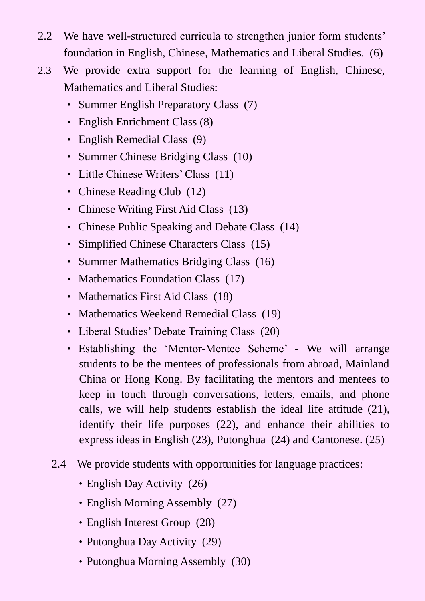- 2.2 We have well-structured curricula to strengthen junior form students' foundation in English, Chinese, Mathematics and Liberal Studies. (6)
- 2.3 We provide extra support for the learning of English, Chinese, Mathematics and Liberal Studies:
	- ‧ Summer English Preparatory Class (7)
	- English Enrichment Class (8)
	- English Remedial Class (9)
	- ‧ Summer Chinese Bridging Class (10)
	- Little Chinese Writers' Class (11)
	- Chinese Reading Club (12)
	- ‧ Chinese Writing First Aid Class (13)
	- Chinese Public Speaking and Debate Class (14)
	- ‧ Simplified Chinese Characters Class (15)
	- ‧ Summer Mathematics Bridging Class (16)
	- Mathematics Foundation Class (17)
	- Mathematics First Aid Class (18)
	- ‧ Mathematics Weekend Remedial Class (19)
	- ‧ Liberal Studies' Debate Training Class (20)
	- ‧ Establishing the 'Mentor-Mentee Scheme' We will arrange students to be the mentees of professionals from abroad, Mainland China or Hong Kong. By facilitating the mentors and mentees to keep in touch through conversations, letters, emails, and phone calls, we will help students establish the ideal life attitude (21), identify their life purposes (22), and enhance their abilities to express ideas in English (23), Putonghua (24) and Cantonese. (25)
	- 2.4 We provide students with opportunities for language practices:
		- English Day Activity (26)
		- English Morning Assembly (27)
		- English Interest Group (28)
		- Putonghua Day Activity (29)
		- Putonghua Morning Assembly (30)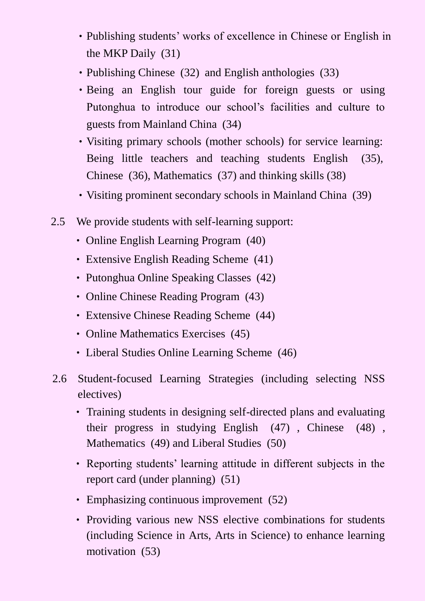- ‧Publishing students' works of excellence in Chinese or English in the MKP Daily (31)
- Publishing Chinese (32) and English anthologies (33)
- Being an English tour guide for foreign guests or using Putonghua to introduce our school's facilities and culture to guests from Mainland China (34)
- ‧Visiting primary schools (mother schools) for service learning: Being little teachers and teaching students English (35), Chinese (36), Mathematics (37) and thinking skills (38)
- ‧Visiting prominent secondary schools in Mainland China (39)
- 2.5 We provide students with self-learning support:
	- ‧ Online English Learning Program (40)
	- ‧ Extensive English Reading Scheme (41)
	- ‧ Putonghua Online Speaking Classes (42)
	- ‧ Online Chinese Reading Program (43)
	- ‧ Extensive Chinese Reading Scheme (44)
	- Online Mathematics Exercises (45)
	- ‧ Liberal Studies Online Learning Scheme (46)
- 2.6 Student-focused Learning Strategies (including selecting NSS electives)
	- ‧ Training students in designing self-directed plans and evaluating their progress in studying English (47) , Chinese (48) , Mathematics (49) and Liberal Studies (50)
	- ‧ Reporting students' learning attitude in different subjects in the report card (under planning) (51)
	- Emphasizing continuous improvement (52)
	- Providing various new NSS elective combinations for students (including Science in Arts, Arts in Science) to enhance learning motivation (53)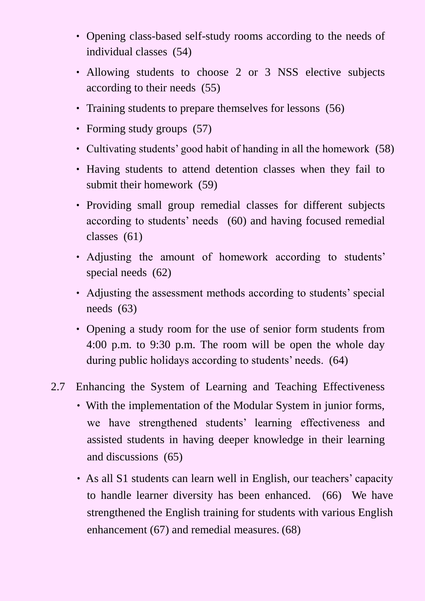- ‧ Opening class-based self-study rooms according to the needs of individual classes (54)
- ‧ Allowing students to choose 2 or 3 NSS elective subjects according to their needs (55)
- ‧ Training students to prepare themselves for lessons (56)
- Forming study groups (57)
- ‧ Cultivating students' good habit of handing in all the homework (58)
- ‧ Having students to attend detention classes when they fail to submit their homework (59)
- ‧ Providing small group remedial classes for different subjects according to students' needs (60) and having focused remedial classes (61)
- ‧ Adjusting the amount of homework according to students' special needs (62)
- ‧ Adjusting the assessment methods according to students' special needs (63)
- ‧ Opening a study room for the use of senior form students from 4:00 p.m. to 9:30 p.m. The room will be open the whole day during public holidays according to students' needs. (64)
- 2.7 Enhancing the System of Learning and Teaching Effectiveness
	- ‧With the implementation of the Modular System in junior forms, we have strengthened students' learning effectiveness and assisted students in having deeper knowledge in their learning and discussions (65)
	- As all S1 students can learn well in English, our teachers' capacity to handle learner diversity has been enhanced. (66) We have strengthened the English training for students with various English enhancement (67) and remedial measures. (68)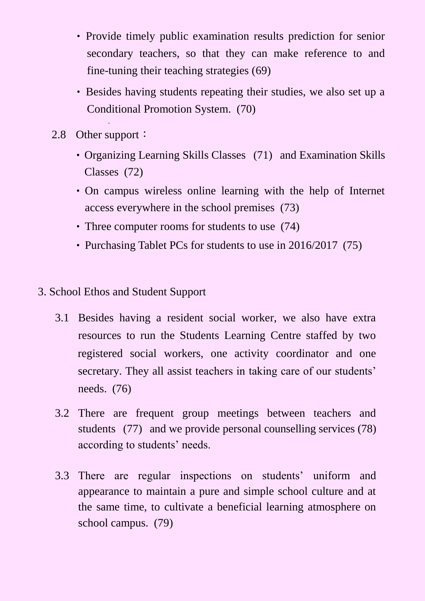- Provide timely public examination results prediction for senior secondary teachers, so that they can make reference to and fine-tuning their teaching strategies (69)
- ‧Besides having students repeating their studies, we also set up a Conditional Promotion System. (70)
- 2.8 Other support:

 $\bullet$ 

- Organizing Learning Skills Classes (71) and Examination Skills Classes (72)
- ‧On campus wireless online learning with the help of Internet access everywhere in the school premises (73)
- ‧Three computer rooms for students to use (74)
- Purchasing Tablet PCs for students to use in 2016/2017 (75)
- 3. School Ethos and Student Support
	- 3.1 Besides having a resident social worker, we also have extra resources to run the Students Learning Centre staffed by two registered social workers, one activity coordinator and one secretary. They all assist teachers in taking care of our students' needs. (76)
	- 3.2 There are frequent group meetings between teachers and students (77) and we provide personal counselling services (78) according to students' needs.
	- 3.3 There are regular inspections on students' uniform and appearance to maintain a pure and simple school culture and at the same time, to cultivate a beneficial learning atmosphere on school campus. (79)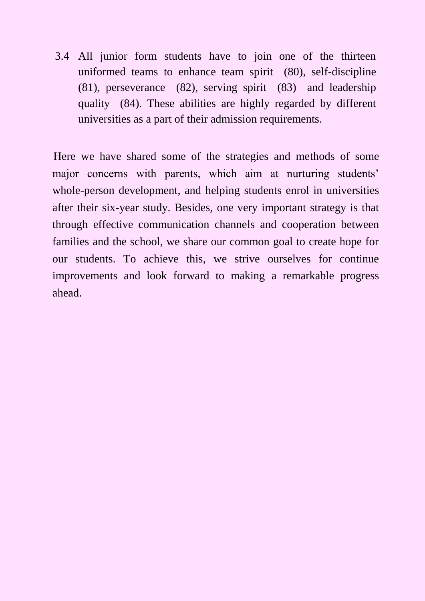3.4 All junior form students have to join one of the thirteen uniformed teams to enhance team spirit (80), self-discipline (81), perseverance (82), serving spirit (83) and leadership quality (84). These abilities are highly regarded by different universities as a part of their admission requirements.

Here we have shared some of the strategies and methods of some major concerns with parents, which aim at nurturing students' whole-person development, and helping students enrol in universities after their six-year study. Besides, one very important strategy is that through effective communication channels and cooperation between families and the school, we share our common goal to create hope for our students. To achieve this, we strive ourselves for continue improvements and look forward to making a remarkable progress ahead.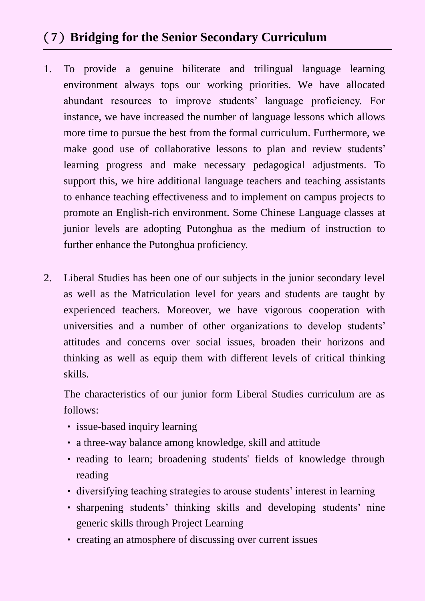## (**7**)**Bridging for the Senior Secondary Curriculum**

- 1. To provide a genuine biliterate and trilingual language learning environment always tops our working priorities. We have allocated abundant resources to improve students' language proficiency. For instance, we have increased the number of language lessons which allows more time to pursue the best from the formal curriculum. Furthermore, we make good use of collaborative lessons to plan and review students' learning progress and make necessary pedagogical adjustments. To support this, we hire additional language teachers and teaching assistants to enhance teaching effectiveness and to implement on campus projects to promote an English-rich environment. Some Chinese Language classes at junior levels are adopting Putonghua as the medium of instruction to further enhance the Putonghua proficiency.
- 2. Liberal Studies has been one of our subjects in the junior secondary level as well as the Matriculation level for years and students are taught by experienced teachers. Moreover, we have vigorous cooperation with universities and a number of other organizations to develop students' attitudes and concerns over social issues, broaden their horizons and thinking as well as equip them with different levels of critical thinking skills.

The characteristics of our junior form Liberal Studies curriculum are as follows:

- issue-based inquiry learning
- ‧ a three-way balance among knowledge, skill and attitude
- ‧ reading to learn; broadening students' fields of knowledge through reading
- ‧ diversifying teaching strategies to arouse students' interest in learning
- ‧ sharpening students' thinking skills and developing students' nine generic skills through Project Learning
- ‧ creating an atmosphere of discussing over current issues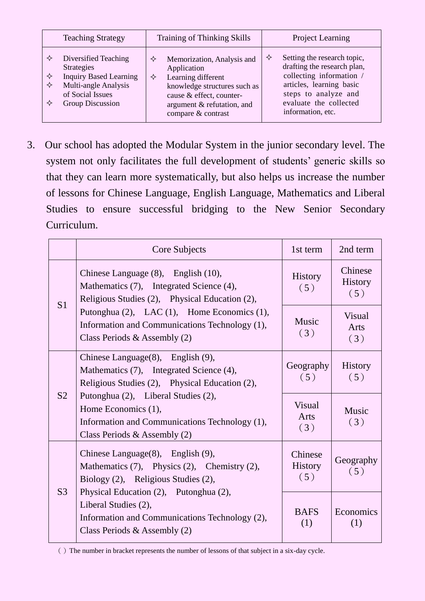| <b>Teaching Strategy</b>                                                                                                                                       | Training of Thinking Skills                                                                                                                                                               | <b>Project Learning</b>                                                                                                                                                                        |  |
|----------------------------------------------------------------------------------------------------------------------------------------------------------------|-------------------------------------------------------------------------------------------------------------------------------------------------------------------------------------------|------------------------------------------------------------------------------------------------------------------------------------------------------------------------------------------------|--|
| Diversified Teaching<br>✧<br><b>Strategies</b><br><b>Inquiry Based Learning</b><br>✧<br>Multi-angle Analysis<br>✧<br>of Social Issues<br>Group Discussion<br>✧ | Memorization, Analysis and<br>✧<br>Application<br>Learning different<br>✧<br>knowledge structures such as<br>cause & effect, counter-<br>argument & refutation, and<br>compare & contrast | Setting the research topic,<br>✧<br>drafting the research plan,<br>collecting information /<br>articles, learning basic<br>steps to analyze and<br>evaluate the collected<br>information, etc. |  |

3. Our school has adopted the Modular System in the junior secondary level. The system not only facilitates the full development of students' generic skills so that they can learn more systematically, but also helps us increase the number of lessons for Chinese Language, English Language, Mathematics and Liberal Studies to ensure successful bridging to the New Senior Secondary Curriculum.

|                | Core Subjects                                                                                                                                                                                                                                                                         | 1st term                         | 2nd term                         |
|----------------|---------------------------------------------------------------------------------------------------------------------------------------------------------------------------------------------------------------------------------------------------------------------------------------|----------------------------------|----------------------------------|
| S <sub>1</sub> | Chinese Language (8), English (10),<br>Mathematics (7), Integrated Science (4),<br>Religious Studies (2), Physical Education (2),                                                                                                                                                     | <b>History</b><br>(5)            | Chinese<br><b>History</b><br>(5) |
|                | Putonghua (2), LAC (1), Home Economics (1),<br>Information and Communications Technology (1),<br>Class Periods & Assembly $(2)$                                                                                                                                                       | <b>Music</b><br>(3)              | <b>Visual</b><br>Arts<br>(3)     |
| S <sub>2</sub> | Chinese Language(8), English (9),<br>Mathematics (7), Integrated Science (4),<br>Religious Studies (2), Physical Education (2),<br>Putonghua (2), Liberal Studies (2),<br>Home Economics (1),<br>Information and Communications Technology (1),<br>Class Periods & Assembly $(2)$     | Geography<br>(5)                 | <b>History</b><br>(5)            |
|                |                                                                                                                                                                                                                                                                                       | <b>Visual</b><br>Arts<br>(3)     | Music<br>(3)                     |
| S <sub>3</sub> | Chinese Language $(8)$ , English $(9)$ ,<br>Mathematics (7), Physics (2), Chemistry (2),<br>Biology (2), Religious Studies (2),<br>Physical Education (2), Putonghua (2),<br>Liberal Studies (2),<br>Information and Communications Technology (2),<br>Class Periods & Assembly $(2)$ | Chinese<br><b>History</b><br>(5) | Geography<br>(5)                 |
|                |                                                                                                                                                                                                                                                                                       | <b>BAFS</b><br>(1)               | Economics<br>(1)                 |

()The number in bracket represents the number of lessons of that subject in a six-day cycle.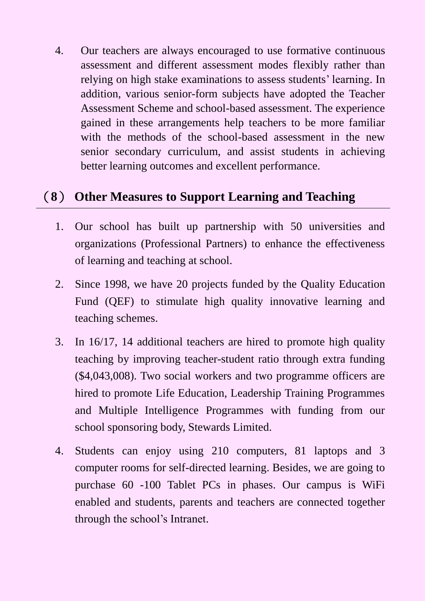4. Our teachers are always encouraged to use formative continuous assessment and different assessment modes flexibly rather than relying on high stake examinations to assess students' learning. In addition, various senior-form subjects have adopted the Teacher Assessment Scheme and school-based assessment. The experience gained in these arrangements help teachers to be more familiar with the methods of the school-based assessment in the new senior secondary curriculum, and assist students in achieving better learning outcomes and excellent performance.

# (**8**) **Other Measures to Support Learning and Teaching**

- 1. Our school has built up partnership with 50 universities and organizations (Professional Partners) to enhance the effectiveness of learning and teaching at school.
- 2. Since 1998, we have 20 projects funded by the Quality Education Fund (QEF) to stimulate high quality innovative learning and teaching schemes.
- 3. In 16/17, 14 additional teachers are hired to promote high quality teaching by improving teacher-student ratio through extra funding (\$4,043,008). Two social workers and two programme officers are hired to promote Life Education, Leadership Training Programmes and Multiple Intelligence Programmes with funding from our school sponsoring body, Stewards Limited.
- 4. Students can enjoy using 210 computers, 81 laptops and 3 computer rooms for self-directed learning. Besides, we are going to purchase 60 -100 Tablet PCs in phases. Our campus is WiFi enabled and students, parents and teachers are connected together through the school's Intranet.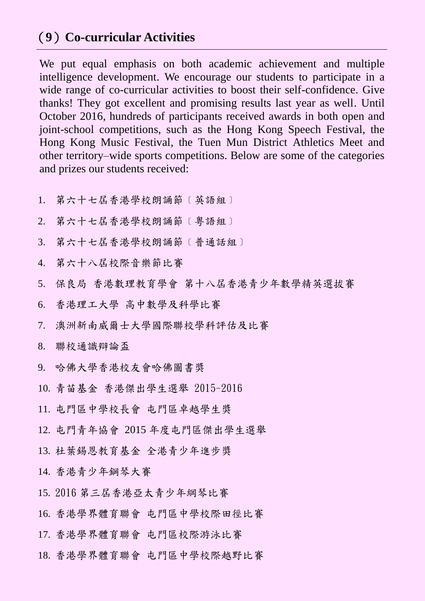## (**9**)**Co-curricular Activities**

We put equal emphasis on both academic achievement and multiple intelligence development. We encourage our students to participate in a wide range of co-curricular activities to boost their self-confidence. Give thanks! They got excellent and promising results last year as well. Until October 2016, hundreds of participants received awards in both open and joint-school competitions, such as the Hong Kong Speech Festival, the Hong Kong Music Festival, the Tuen Mun District Athletics Meet and other territory–wide sports competitions. Below are some of the categories and prizes our students received:

- 1. 第六十七屆香港學校朗誦節﹝英語組﹞
- 2. 第六十七屆香港學校朗誦節﹝粵語組﹞
- 3. 第六十七屆香港學校朗誦節﹝普通話組﹞
- 4. 第六十八屆校際音樂節比賽
- 5. 保良局 香港數理教育學會 第十八屆香港青少年數學精英選拔賽
- 6. 香港理工大學 高中數學及科學比賽
- 7. 澳洲新南威爾士大學國際聯校學科評估及比賽
- 8. 聯校通識辯論盃
- 9. 哈佛大學香港校友會哈佛圖書獎
- 10. 青苗基金 香港傑出學生選舉 2015-2016
- 11. 屯門區中學校長會 屯門區卓越學生獎
- 12. 屯門青年協會 2015 年度屯門區傑出學生選舉
- 13. 杜葉錫恩教育基金 全港青少年進步獎
- 14. 香港青少年鋼琴大賽
- 15. 2016 第三屆香港亞太青少年綱琴比賽
- 16. 香港學界體育聯會 屯門區中學校際田徑比賽
- 17. 香港學界體育聯會 屯門區校際游泳比賽
- 18. 香港學界體育聯會 屯門區中學校際越野比賽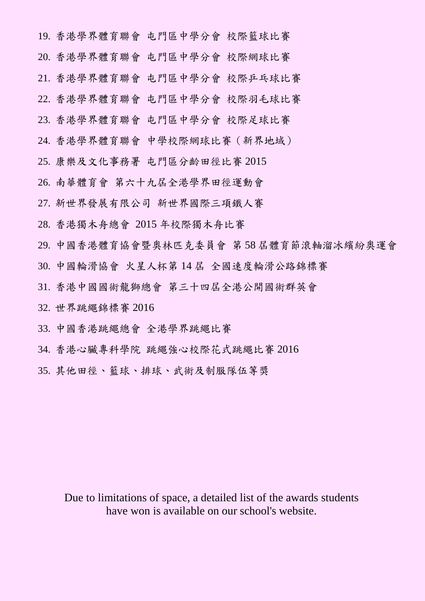19. 香港學界體育聯會 屯門區中學分會 校際籃球比賽 20. 香港學界體育聯會 屯門區中學分會 校際網球比賽 21. 香港學界體育聯會 屯門區中學分會 校際乒乓球比賽

22. 香港學界體育聯會 屯門區中學分會 校際羽毛球比賽

23. 香港學界體育聯會 屯門區中學分會 校際足球比賽

24. 香港學界體育聯會 中學校際網球比賽(新界地域)

25. 康樂及文化事務署 屯門區分齡田徑比賽 2015

26. 南華體育會 第六十九屆全港學界田徑運動會

27. 新世界發展有限公司 新世界國際三項鐵人賽

28. 香港獨木舟總會 2015 年校際獨木舟比賽

29. 中國香港體育協會暨奧林匹克委員會 第 58 屆體育節滾軸溜冰繽紛奧運會

30. 中國輪滑協會 火星人杯第 14 屆 全國速度輪滑公路錦標賽

31. 香港中國國術龍獅總會 第三十四屆全港公開國術群英會

32. 世界跳繩錦標賽 2016

33. 中國香港跳繩總會 全港學界跳繩比賽

34. 香港心臟專科學院 跳繩強心校際花式跳繩比賽 2016

35. 其他田徑、籃球、排球、武術及制服隊伍等獎

Due to limitations of space, a detailed list of the awards students have won is available on our school's website.